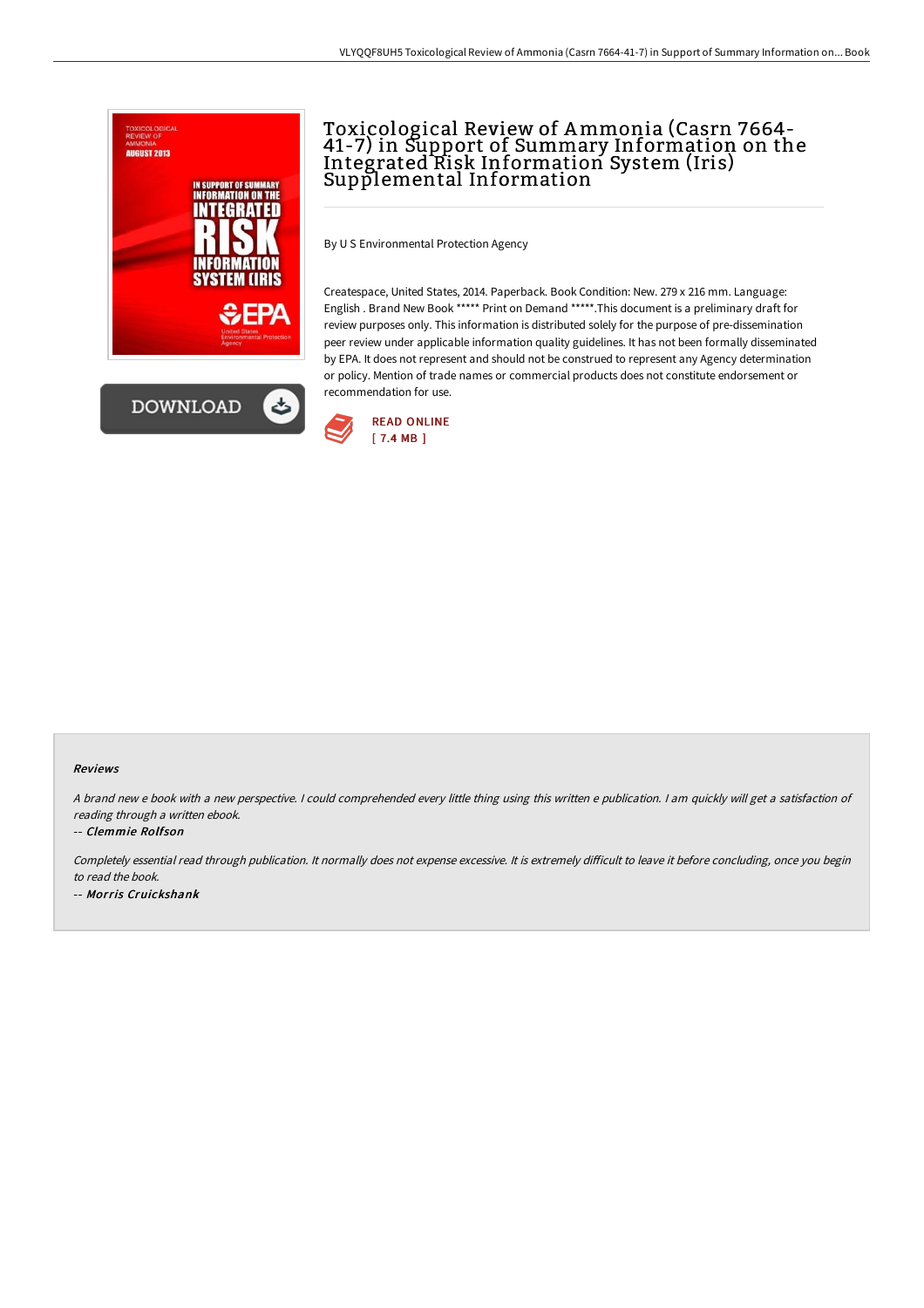

## Toxicological Review of Ammonia (Casrn 7664- 41-7) in Support of Summary Information on the Integrated Risk Information System (Iris) Supplemental Information

By U S Environmental Protection Agency

Createspace, United States, 2014. Paperback. Book Condition: New. 279 x 216 mm. Language: English . Brand New Book \*\*\*\*\* Print on Demand \*\*\*\*\*.This document is a preliminary draft for review purposes only. This information is distributed solely for the purpose of pre-dissemination peer review under applicable information quality guidelines. It has not been formally disseminated by EPA. It does not represent and should not be construed to represent any Agency determination or policy. Mention of trade names or commercial products does not constitute endorsement or recommendation for use.



## Reviews

A brand new e book with a new perspective. I could comprehended every little thing using this written e publication. I am quickly will get a satisfaction of reading through <sup>a</sup> written ebook.

-- Clemmie Rolfson

Completely essential read through publication. It normally does not expense excessive. It is extremely difficult to leave it before concluding, once you begin to read the book.

-- Morris Cruickshank